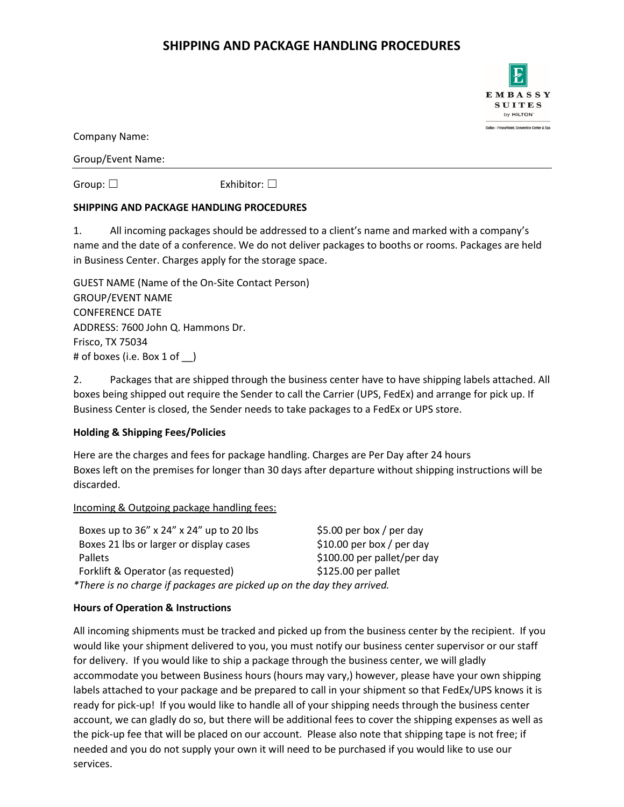# **SHIPPING AND PACKAGE HANDLING PROCEDURES**

Company Name:

Group/Event Name:

Group: □ Exhibitor: □

### **SHIPPING AND PACKAGE HANDLING PROCEDURES**

1. All incoming packages should be addressed to a client's name and marked with a company's name and the date of a conference. We do not deliver packages to booths or rooms. Packages are held in Business Center. Charges apply for the storage space.

| <b>GUEST NAME (Name of the On-Site Contact Person)</b> |
|--------------------------------------------------------|
| <b>GROUP/EVENT NAME</b>                                |
| <b>CONFERENCE DATE</b>                                 |
| ADDRESS: 7600 John Q. Hammons Dr.                      |
| <b>Frisco, TX 75034</b>                                |
| # of boxes (i.e. Box 1 of $\Box$ )                     |

2. Packages that are shipped through the business center have to have shipping labels attached. All boxes being shipped out require the Sender to call the Carrier (UPS, FedEx) and arrange for pick up. If Business Center is closed, the Sender needs to take packages to a FedEx or UPS store.

## **Holding & Shipping Fees/Policies**

Here are the charges and fees for package handling. Charges are Per Day after 24 hours Boxes left on the premises for longer than 30 days after departure without shipping instructions will be discarded.

#### Incoming & Outgoing package handling fees:

| Boxes up to 36" x 24" x 24" up to 20 lbs                               | \$5.00 per box / per day    |
|------------------------------------------------------------------------|-----------------------------|
| Boxes 21 lbs or larger or display cases                                | $$10.00$ per box / per day  |
| <b>Pallets</b>                                                         | \$100.00 per pallet/per day |
| Forklift & Operator (as requested)                                     | $$125.00$ per pallet        |
| *There is no charge if packages are picked up on the day they arrived. |                             |

## **Hours of Operation & Instructions**

All incoming shipments must be tracked and picked up from the business center by the recipient. If you would like your shipment delivered to you, you must notify our business center supervisor or our staff for delivery. If you would like to ship a package through the business center, we will gladly accommodate you between Business hours (hours may vary,) however, please have your own shipping labels attached to your package and be prepared to call in your shipment so that FedEx/UPS knows it is ready for pick-up! If you would like to handle all of your shipping needs through the business center account, we can gladly do so, but there will be additional fees to cover the shipping expenses as well as the pick-up fee that will be placed on our account. Please also note that shipping tape is not free; if needed and you do not supply your own it will need to be purchased if you would like to use our services.